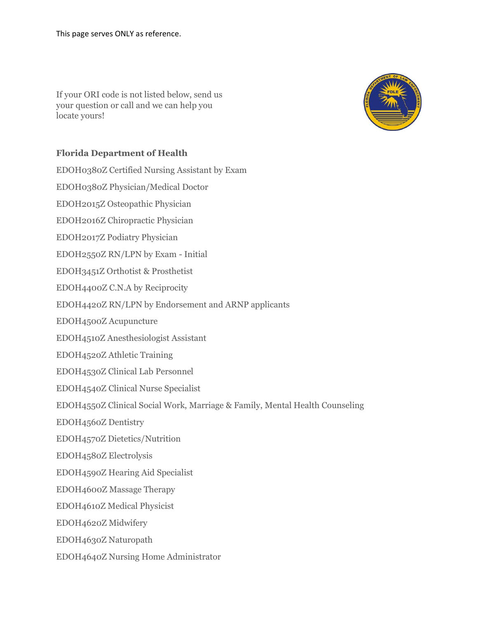If your ORI code is not listed below, send us your question or call and we can help you locate yours!



## **Florida Department of Health**

EDOH0380Z Certified Nursing Assistant by Exam EDOH0380Z Physician/Medical Doctor EDOH2015Z Osteopathic Physician EDOH2016Z Chiropractic Physician EDOH2017Z Podiatry Physician EDOH2550Z RN/LPN by Exam - Initial EDOH3451Z Orthotist & Prosthetist EDOH4400Z C.N.A by Reciprocity EDOH4420Z RN/LPN by Endorsement and ARNP applicants EDOH4500Z Acupuncture EDOH4510Z Anesthesiologist Assistant EDOH4520Z Athletic Training EDOH4530Z Clinical Lab Personnel EDOH4540Z Clinical Nurse Specialist EDOH4550Z Clinical Social Work, Marriage & Family, Mental Health Counseling EDOH4560Z Dentistry EDOH4570Z Dietetics/Nutrition EDOH4580Z Electrolysis EDOH4590Z Hearing Aid Specialist EDOH4600Z Massage Therapy EDOH4610Z Medical Physicist EDOH4620Z Midwifery EDOH4630Z Naturopath EDOH4640Z Nursing Home Administrator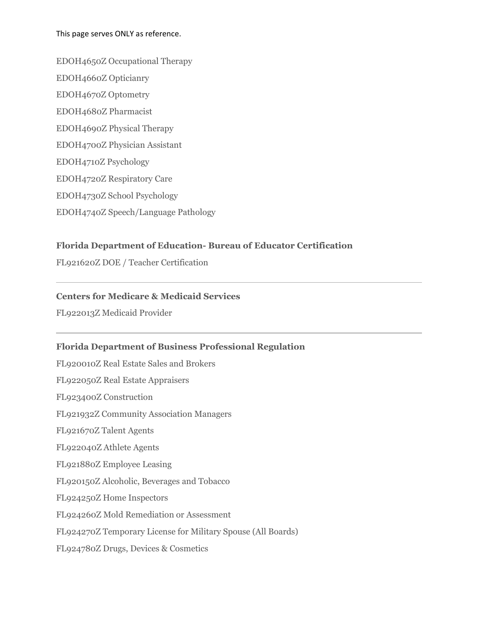#### This page serves ONLY as reference.

EDOH4650Z Occupational Therapy EDOH4660Z Opticianry EDOH4670Z Optometry EDOH4680Z Pharmacist EDOH4690Z Physical Therapy EDOH4700Z Physician Assistant EDOH4710Z Psychology EDOH4720Z Respiratory Care EDOH4730Z School Psychology EDOH4740Z Speech/Language Pathology

### **Florida Department of Education- Bureau of Educator Certification**

FL921620Z DOE / Teacher Certification

#### **Centers for Medicare & Medicaid Services**

FL922013Z Medicaid Provider

### **Florida Department of Business Professional Regulation**

FL920010Z Real Estate Sales and Brokers

FL922050Z Real Estate Appraisers

FL923400Z Construction

FL921932Z Community Association Managers

FL921670Z Talent Agents

FL922040Z Athlete Agents

FL921880Z Employee Leasing

FL920150Z Alcoholic, Beverages and Tobacco

FL924250Z Home Inspectors

FL924260Z Mold Remediation or Assessment

FL924270Z Temporary License for Military Spouse (All Boards)

FL924780Z Drugs, Devices & Cosmetics